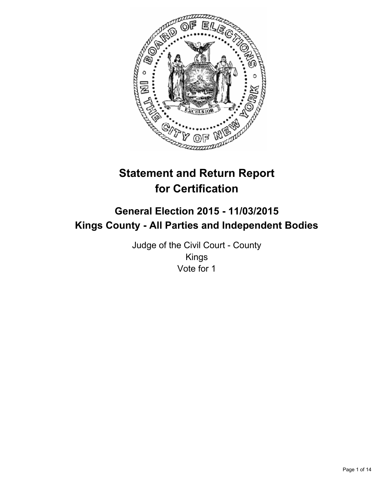

# **Statement and Return Report for Certification**

# **General Election 2015 - 11/03/2015 Kings County - All Parties and Independent Bodies**

Judge of the Civil Court - County Kings Vote for 1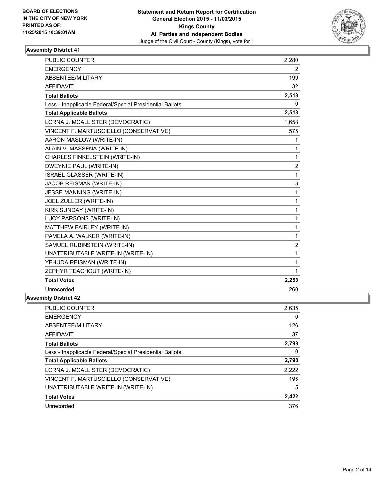

| <b>PUBLIC COUNTER</b>                                    | 2,280 |
|----------------------------------------------------------|-------|
| <b>EMERGENCY</b>                                         | 2     |
| ABSENTEE/MILITARY                                        | 199   |
| <b>AFFIDAVIT</b>                                         | 32    |
| <b>Total Ballots</b>                                     | 2,513 |
| Less - Inapplicable Federal/Special Presidential Ballots | 0     |
| <b>Total Applicable Ballots</b>                          | 2,513 |
| LORNA J. MCALLISTER (DEMOCRATIC)                         | 1,658 |
| VINCENT F. MARTUSCIELLO (CONSERVATIVE)                   | 575   |
| AARON MASLOW (WRITE-IN)                                  | 1     |
| ALAIN V. MASSENA (WRITE-IN)                              | 1     |
| CHARLES FINKELSTEIN (WRITE-IN)                           | 1     |
| DWEYNIE PAUL (WRITE-IN)                                  | 2     |
| <b>ISRAEL GLASSER (WRITE-IN)</b>                         | 1     |
| JACOB REISMAN (WRITE-IN)                                 | 3     |
| <b>JESSE MANNING (WRITE-IN)</b>                          | 1     |
| JOEL ZULLER (WRITE-IN)                                   | 1     |
| KIRK SUNDAY (WRITE-IN)                                   | 1     |
| LUCY PARSONS (WRITE-IN)                                  | 1     |
| MATTHEW FAIRLEY (WRITE-IN)                               | 1     |
| PAMELA A. WALKER (WRITE-IN)                              | 1     |
| SAMUEL RUBINSTEIN (WRITE-IN)                             | 2     |
| UNATTRIBUTABLE WRITE-IN (WRITE-IN)                       | 1     |
| YEHUDA REISMAN (WRITE-IN)                                | 1     |
| ZEPHYR TEACHOUT (WRITE-IN)                               | 1     |
| <b>Total Votes</b>                                       | 2,253 |
| Unrecorded                                               | 260   |
| nhly Nietriet 19                                         |       |

| PUBLIC COUNTER                                           | 2,635 |
|----------------------------------------------------------|-------|
| <b>EMERGENCY</b>                                         | 0     |
| ABSENTEE/MILITARY                                        | 126   |
| <b>AFFIDAVIT</b>                                         | 37    |
| <b>Total Ballots</b>                                     | 2,798 |
| Less - Inapplicable Federal/Special Presidential Ballots | 0     |
| <b>Total Applicable Ballots</b>                          | 2,798 |
| LORNA J. MCALLISTER (DEMOCRATIC)                         | 2,222 |
| VINCENT F. MARTUSCIELLO (CONSERVATIVE)                   | 195   |
| UNATTRIBUTABLE WRITE-IN (WRITE-IN)                       | 5     |
| <b>Total Votes</b>                                       | 2,422 |
| Unrecorded                                               | 376   |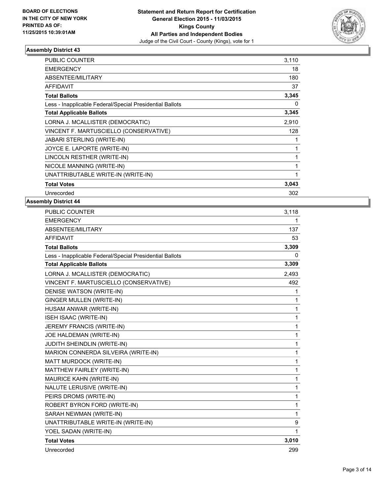

| <b>PUBLIC COUNTER</b>                                    | 3,110 |
|----------------------------------------------------------|-------|
| <b>EMERGENCY</b>                                         | 18    |
| ABSENTEE/MILITARY                                        | 180   |
| <b>AFFIDAVIT</b>                                         | 37    |
| <b>Total Ballots</b>                                     | 3,345 |
| Less - Inapplicable Federal/Special Presidential Ballots | 0     |
| <b>Total Applicable Ballots</b>                          | 3,345 |
| LORNA J. MCALLISTER (DEMOCRATIC)                         | 2,910 |
| VINCENT F. MARTUSCIELLO (CONSERVATIVE)                   | 128   |
| <b>JABARI STERLING (WRITE-IN)</b>                        | 1     |
| JOYCE E. LAPORTE (WRITE-IN)                              | 1     |
| LINCOLN RESTHER (WRITE-IN)                               | 1     |
| NICOLE MANNING (WRITE-IN)                                | 1     |
| UNATTRIBUTABLE WRITE-IN (WRITE-IN)                       | 1     |
| <b>Total Votes</b>                                       | 3,043 |
| Unrecorded                                               | 302   |

| <b>PUBLIC COUNTER</b>                                    | 3,118        |
|----------------------------------------------------------|--------------|
| <b>EMERGENCY</b>                                         | 1            |
| ABSENTEE/MILITARY                                        | 137          |
| <b>AFFIDAVIT</b>                                         | 53           |
| <b>Total Ballots</b>                                     | 3,309        |
| Less - Inapplicable Federal/Special Presidential Ballots | 0            |
| <b>Total Applicable Ballots</b>                          | 3,309        |
| LORNA J. MCALLISTER (DEMOCRATIC)                         | 2,493        |
| VINCENT F. MARTUSCIELLO (CONSERVATIVE)                   | 492          |
| DENISE WATSON (WRITE-IN)                                 | 1            |
| GINGER MULLEN (WRITE-IN)                                 | 1            |
| HUSAM ANWAR (WRITE-IN)                                   | 1            |
| <b>ISEH ISAAC (WRITE-IN)</b>                             | 1            |
| JEREMY FRANCIS (WRITE-IN)                                | $\mathbf{1}$ |
| JOE HALDEMAN (WRITE-IN)                                  | 1            |
| JUDITH SHEINDLIN (WRITE-IN)                              | 1            |
| MARION CONNERDA SILVEIRA (WRITE-IN)                      | $\mathbf 1$  |
| MATT MURDOCK (WRITE-IN)                                  | 1            |
| MATTHEW FAIRLEY (WRITE-IN)                               | 1            |
| MAURICE KAHN (WRITE-IN)                                  | 1            |
| NALUTE LERUSIVE (WRITE-IN)                               | 1            |
| PEIRS DROMS (WRITE-IN)                                   | 1            |
| ROBERT BYRON FORD (WRITE-IN)                             | 1            |
| SARAH NEWMAN (WRITE-IN)                                  | 1            |
| UNATTRIBUTABLE WRITE-IN (WRITE-IN)                       | 9            |
| YOEL SADAN (WRITE-IN)                                    | $\mathbf{1}$ |
| <b>Total Votes</b>                                       | 3,010        |
| Unrecorded                                               | 299          |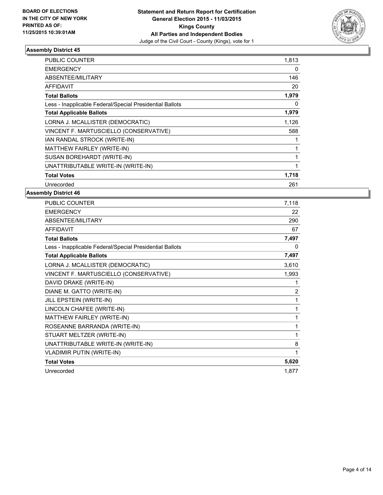

| <b>PUBLIC COUNTER</b>                                    | 1,813        |
|----------------------------------------------------------|--------------|
| <b>EMERGENCY</b>                                         | 0            |
| ABSENTEE/MILITARY                                        | 146          |
| AFFIDAVIT                                                | 20           |
| <b>Total Ballots</b>                                     | 1,979        |
| Less - Inapplicable Federal/Special Presidential Ballots | 0            |
| <b>Total Applicable Ballots</b>                          | 1,979        |
| LORNA J. MCALLISTER (DEMOCRATIC)                         | 1,126        |
| VINCENT F. MARTUSCIELLO (CONSERVATIVE)                   | 588          |
| IAN RANDAL STROCK (WRITE-IN)                             |              |
| MATTHEW FAIRLEY (WRITE-IN)                               | 1            |
| SUSAN BOREHARDT (WRITE-IN)                               | 1            |
| UNATTRIBUTABLE WRITE-IN (WRITE-IN)                       | $\mathbf{1}$ |
| <b>Total Votes</b>                                       | 1,718        |
| Unrecorded                                               | 261          |

| PUBLIC COUNTER                                           | 7,118 |
|----------------------------------------------------------|-------|
| <b>EMERGENCY</b>                                         | 22    |
| ABSENTEE/MILITARY                                        | 290   |
| <b>AFFIDAVIT</b>                                         | 67    |
| <b>Total Ballots</b>                                     | 7,497 |
| Less - Inapplicable Federal/Special Presidential Ballots | 0     |
| <b>Total Applicable Ballots</b>                          | 7,497 |
| LORNA J. MCALLISTER (DEMOCRATIC)                         | 3,610 |
| VINCENT F. MARTUSCIELLO (CONSERVATIVE)                   | 1,993 |
| DAVID DRAKE (WRITE-IN)                                   | 1     |
| DIANE M. GATTO (WRITE-IN)                                | 2     |
| JILL EPSTEIN (WRITE-IN)                                  | 1     |
| LINCOLN CHAFEE (WRITE-IN)                                | 1     |
| MATTHEW FAIRLEY (WRITE-IN)                               | 1     |
| ROSEANNE BARRANDA (WRITE-IN)                             | 1     |
| STUART MELTZER (WRITE-IN)                                | 1     |
| UNATTRIBUTABLE WRITE-IN (WRITE-IN)                       | 8     |
| <b>VLADIMIR PUTIN (WRITE-IN)</b>                         | 1     |
| <b>Total Votes</b>                                       | 5,620 |
| Unrecorded                                               | 1.877 |
|                                                          |       |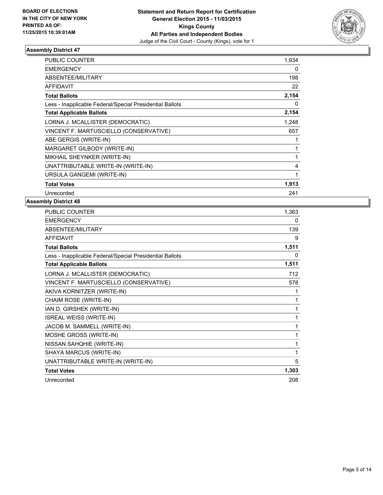

| <b>PUBLIC COUNTER</b>                                    | 1,934 |
|----------------------------------------------------------|-------|
| <b>EMERGENCY</b>                                         | 0     |
| ABSENTEE/MILITARY                                        | 198   |
| <b>AFFIDAVIT</b>                                         | 22    |
| <b>Total Ballots</b>                                     | 2,154 |
| Less - Inapplicable Federal/Special Presidential Ballots | 0     |
| <b>Total Applicable Ballots</b>                          | 2,154 |
| LORNA J. MCALLISTER (DEMOCRATIC)                         | 1,248 |
| VINCENT F. MARTUSCIELLO (CONSERVATIVE)                   | 657   |
| ABE GERGIS (WRITE-IN)                                    | 1     |
| MARGARET GILBODY (WRITE-IN)                              | 1     |
| MIKHAIL SHEYNKER (WRITE-IN)                              | 1     |
| UNATTRIBUTABLE WRITE-IN (WRITE-IN)                       | 4     |
| URSULA GANGEMI (WRITE-IN)                                | 1     |
| <b>Total Votes</b>                                       | 1,913 |
| Unrecorded                                               | 241   |

| <b>PUBLIC COUNTER</b>                                    | 1,363 |
|----------------------------------------------------------|-------|
| <b>EMERGENCY</b>                                         | 0     |
| ABSENTEE/MILITARY                                        | 139   |
| <b>AFFIDAVIT</b>                                         | 9     |
| <b>Total Ballots</b>                                     | 1,511 |
| Less - Inapplicable Federal/Special Presidential Ballots | 0     |
| <b>Total Applicable Ballots</b>                          | 1,511 |
| LORNA J. MCALLISTER (DEMOCRATIC)                         | 712   |
| VINCENT F. MARTUSCIELLO (CONSERVATIVE)                   | 578   |
| AKIVA KORNITZER (WRITE-IN)                               | 1     |
| CHAIM ROSE (WRITE-IN)                                    | 1     |
| IAN D. GIRSHEK (WRITE-IN)                                | 1     |
| <b>ISREAL WEISS (WRITE-IN)</b>                           | 1     |
| JACOB M. SAMMELL (WRITE-IN)                              | 1     |
| MOSHE GROSS (WRITE-IN)                                   | 1     |
| NISSAN SAHQHIE (WRITE-IN)                                | 1     |
| SHAYA MARCUS (WRITE-IN)                                  | 1     |
| UNATTRIBUTABLE WRITE-IN (WRITE-IN)                       | 5     |
| <b>Total Votes</b>                                       | 1,303 |
| Unrecorded                                               | 208   |
|                                                          |       |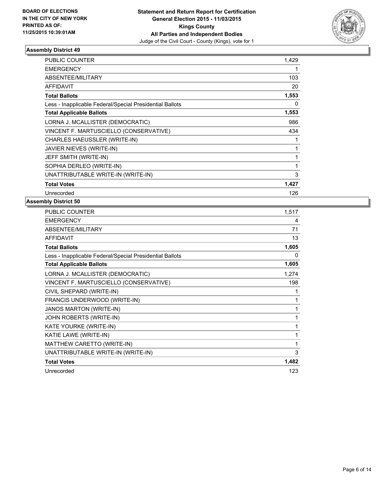

| <b>PUBLIC COUNTER</b>                                    | 1,429 |
|----------------------------------------------------------|-------|
| <b>EMERGENCY</b>                                         |       |
| ABSENTEE/MILITARY                                        | 103   |
| <b>AFFIDAVIT</b>                                         | 20    |
| <b>Total Ballots</b>                                     | 1,553 |
| Less - Inapplicable Federal/Special Presidential Ballots | 0     |
| <b>Total Applicable Ballots</b>                          | 1,553 |
| LORNA J. MCALLISTER (DEMOCRATIC)                         | 986   |
| VINCENT F. MARTUSCIELLO (CONSERVATIVE)                   | 434   |
| CHARLES HAEUSSLER (WRITE-IN)                             | 1     |
| JAVIER NIEVES (WRITE-IN)                                 | 1     |
| JEFF SMITH (WRITE-IN)                                    | 1     |
| SOPHIA DERLEO (WRITE-IN)                                 | 1     |
| UNATTRIBUTABLE WRITE-IN (WRITE-IN)                       | 3     |
| <b>Total Votes</b>                                       | 1,427 |
| Unrecorded                                               | 126   |

| PUBLIC COUNTER                                           | 1,517 |
|----------------------------------------------------------|-------|
| <b>EMERGENCY</b>                                         | 4     |
| ABSENTEE/MILITARY                                        | 71    |
| <b>AFFIDAVIT</b>                                         | 13    |
| <b>Total Ballots</b>                                     | 1,605 |
| Less - Inapplicable Federal/Special Presidential Ballots | 0     |
| <b>Total Applicable Ballots</b>                          | 1,605 |
| LORNA J. MCALLISTER (DEMOCRATIC)                         | 1,274 |
| VINCENT F. MARTUSCIELLO (CONSERVATIVE)                   | 198   |
| CIVIL SHEPARD (WRITE-IN)                                 | 1     |
| FRANCIS UNDERWOOD (WRITE-IN)                             | 1     |
| JANOS MARTON (WRITE-IN)                                  | 1     |
| JOHN ROBERTS (WRITE-IN)                                  | 1     |
| KATE YOURKE (WRITE-IN)                                   | 1     |
| KATIE LAWE (WRITE-IN)                                    | 1     |
| MATTHEW CARETTO (WRITE-IN)                               | 1     |
| UNATTRIBUTABLE WRITE-IN (WRITE-IN)                       | 3     |
| <b>Total Votes</b>                                       | 1,482 |
| Unrecorded                                               | 123   |
|                                                          |       |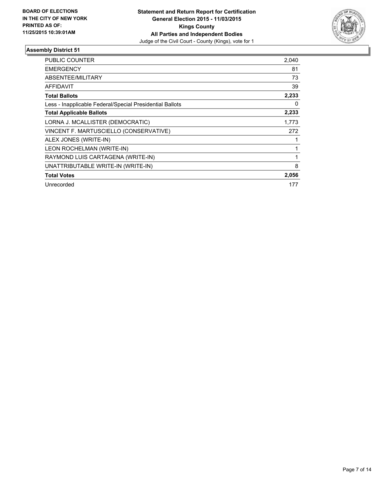

| <b>PUBLIC COUNTER</b>                                    | 2,040 |
|----------------------------------------------------------|-------|
| <b>EMERGENCY</b>                                         | 81    |
| <b>ABSENTEE/MILITARY</b>                                 | 73    |
| <b>AFFIDAVIT</b>                                         | 39    |
| <b>Total Ballots</b>                                     | 2,233 |
| Less - Inapplicable Federal/Special Presidential Ballots | 0     |
| <b>Total Applicable Ballots</b>                          | 2,233 |
| LORNA J. MCALLISTER (DEMOCRATIC)                         | 1,773 |
| VINCENT F. MARTUSCIELLO (CONSERVATIVE)                   | 272   |
| ALEX JONES (WRITE-IN)                                    |       |
| LEON ROCHELMAN (WRITE-IN)                                |       |
| RAYMOND LUIS CARTAGENA (WRITE-IN)                        | 1     |
| UNATTRIBUTABLE WRITE-IN (WRITE-IN)                       | 8     |
| <b>Total Votes</b>                                       | 2,056 |
| Unrecorded                                               | 177   |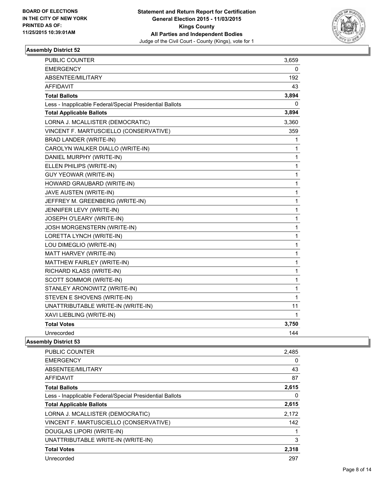

| <b>EMERGENCY</b><br>0<br>ABSENTEE/MILITARY<br>192<br>AFFIDAVIT<br>43<br>3,894<br><b>Total Ballots</b><br>Less - Inapplicable Federal/Special Presidential Ballots<br>0<br><b>Total Applicable Ballots</b><br>3,894<br>LORNA J. MCALLISTER (DEMOCRATIC)<br>3,360<br>VINCENT F. MARTUSCIELLO (CONSERVATIVE)<br>359<br>BRAD LANDER (WRITE-IN)<br>1<br>CAROLYN WALKER DIALLO (WRITE-IN)<br>1<br>DANIEL MURPHY (WRITE-IN)<br>1<br>1<br>ELLEN PHILIPS (WRITE-IN)<br>1<br><b>GUY YEOWAR (WRITE-IN)</b><br>HOWARD GRAUBARD (WRITE-IN)<br>$\mathbf 1$<br>1<br>JAVE AUSTEN (WRITE-IN)<br>1<br>JEFFREY M. GREENBERG (WRITE-IN)<br>JENNIFER LEVY (WRITE-IN)<br>1<br>JOSEPH O'LEARY (WRITE-IN)<br>1<br>JOSH MORGENSTERN (WRITE-IN)<br>1<br>LORETTA LYNCH (WRITE-IN)<br>1<br>1<br>LOU DIMEGLIO (WRITE-IN)<br>1<br>MATT HARVEY (WRITE-IN)<br>MATTHEW FAIRLEY (WRITE-IN)<br>1<br>RICHARD KLASS (WRITE-IN)<br>1<br>SCOTT SOMMOR (WRITE-IN)<br>1<br>1<br>STANLEY ARONOWITZ (WRITE-IN)<br>STEVEN E SHOVENS (WRITE-IN)<br>1<br>UNATTRIBUTABLE WRITE-IN (WRITE-IN)<br>11<br>XAVI LIEBLING (WRITE-IN)<br>1<br><b>Total Votes</b><br>3,750<br>144<br>Unrecorded | PUBLIC COUNTER | 3,659 |
|------------------------------------------------------------------------------------------------------------------------------------------------------------------------------------------------------------------------------------------------------------------------------------------------------------------------------------------------------------------------------------------------------------------------------------------------------------------------------------------------------------------------------------------------------------------------------------------------------------------------------------------------------------------------------------------------------------------------------------------------------------------------------------------------------------------------------------------------------------------------------------------------------------------------------------------------------------------------------------------------------------------------------------------------------------------------------------------------------------------------------------------|----------------|-------|
|                                                                                                                                                                                                                                                                                                                                                                                                                                                                                                                                                                                                                                                                                                                                                                                                                                                                                                                                                                                                                                                                                                                                          |                |       |
|                                                                                                                                                                                                                                                                                                                                                                                                                                                                                                                                                                                                                                                                                                                                                                                                                                                                                                                                                                                                                                                                                                                                          |                |       |
|                                                                                                                                                                                                                                                                                                                                                                                                                                                                                                                                                                                                                                                                                                                                                                                                                                                                                                                                                                                                                                                                                                                                          |                |       |
|                                                                                                                                                                                                                                                                                                                                                                                                                                                                                                                                                                                                                                                                                                                                                                                                                                                                                                                                                                                                                                                                                                                                          |                |       |
|                                                                                                                                                                                                                                                                                                                                                                                                                                                                                                                                                                                                                                                                                                                                                                                                                                                                                                                                                                                                                                                                                                                                          |                |       |
|                                                                                                                                                                                                                                                                                                                                                                                                                                                                                                                                                                                                                                                                                                                                                                                                                                                                                                                                                                                                                                                                                                                                          |                |       |
|                                                                                                                                                                                                                                                                                                                                                                                                                                                                                                                                                                                                                                                                                                                                                                                                                                                                                                                                                                                                                                                                                                                                          |                |       |
|                                                                                                                                                                                                                                                                                                                                                                                                                                                                                                                                                                                                                                                                                                                                                                                                                                                                                                                                                                                                                                                                                                                                          |                |       |
|                                                                                                                                                                                                                                                                                                                                                                                                                                                                                                                                                                                                                                                                                                                                                                                                                                                                                                                                                                                                                                                                                                                                          |                |       |
|                                                                                                                                                                                                                                                                                                                                                                                                                                                                                                                                                                                                                                                                                                                                                                                                                                                                                                                                                                                                                                                                                                                                          |                |       |
|                                                                                                                                                                                                                                                                                                                                                                                                                                                                                                                                                                                                                                                                                                                                                                                                                                                                                                                                                                                                                                                                                                                                          |                |       |
|                                                                                                                                                                                                                                                                                                                                                                                                                                                                                                                                                                                                                                                                                                                                                                                                                                                                                                                                                                                                                                                                                                                                          |                |       |
|                                                                                                                                                                                                                                                                                                                                                                                                                                                                                                                                                                                                                                                                                                                                                                                                                                                                                                                                                                                                                                                                                                                                          |                |       |
|                                                                                                                                                                                                                                                                                                                                                                                                                                                                                                                                                                                                                                                                                                                                                                                                                                                                                                                                                                                                                                                                                                                                          |                |       |
|                                                                                                                                                                                                                                                                                                                                                                                                                                                                                                                                                                                                                                                                                                                                                                                                                                                                                                                                                                                                                                                                                                                                          |                |       |
|                                                                                                                                                                                                                                                                                                                                                                                                                                                                                                                                                                                                                                                                                                                                                                                                                                                                                                                                                                                                                                                                                                                                          |                |       |
|                                                                                                                                                                                                                                                                                                                                                                                                                                                                                                                                                                                                                                                                                                                                                                                                                                                                                                                                                                                                                                                                                                                                          |                |       |
|                                                                                                                                                                                                                                                                                                                                                                                                                                                                                                                                                                                                                                                                                                                                                                                                                                                                                                                                                                                                                                                                                                                                          |                |       |
|                                                                                                                                                                                                                                                                                                                                                                                                                                                                                                                                                                                                                                                                                                                                                                                                                                                                                                                                                                                                                                                                                                                                          |                |       |
|                                                                                                                                                                                                                                                                                                                                                                                                                                                                                                                                                                                                                                                                                                                                                                                                                                                                                                                                                                                                                                                                                                                                          |                |       |
|                                                                                                                                                                                                                                                                                                                                                                                                                                                                                                                                                                                                                                                                                                                                                                                                                                                                                                                                                                                                                                                                                                                                          |                |       |
|                                                                                                                                                                                                                                                                                                                                                                                                                                                                                                                                                                                                                                                                                                                                                                                                                                                                                                                                                                                                                                                                                                                                          |                |       |
|                                                                                                                                                                                                                                                                                                                                                                                                                                                                                                                                                                                                                                                                                                                                                                                                                                                                                                                                                                                                                                                                                                                                          |                |       |
|                                                                                                                                                                                                                                                                                                                                                                                                                                                                                                                                                                                                                                                                                                                                                                                                                                                                                                                                                                                                                                                                                                                                          |                |       |
|                                                                                                                                                                                                                                                                                                                                                                                                                                                                                                                                                                                                                                                                                                                                                                                                                                                                                                                                                                                                                                                                                                                                          |                |       |
|                                                                                                                                                                                                                                                                                                                                                                                                                                                                                                                                                                                                                                                                                                                                                                                                                                                                                                                                                                                                                                                                                                                                          |                |       |
|                                                                                                                                                                                                                                                                                                                                                                                                                                                                                                                                                                                                                                                                                                                                                                                                                                                                                                                                                                                                                                                                                                                                          |                |       |
|                                                                                                                                                                                                                                                                                                                                                                                                                                                                                                                                                                                                                                                                                                                                                                                                                                                                                                                                                                                                                                                                                                                                          |                |       |
|                                                                                                                                                                                                                                                                                                                                                                                                                                                                                                                                                                                                                                                                                                                                                                                                                                                                                                                                                                                                                                                                                                                                          |                |       |
|                                                                                                                                                                                                                                                                                                                                                                                                                                                                                                                                                                                                                                                                                                                                                                                                                                                                                                                                                                                                                                                                                                                                          |                |       |
|                                                                                                                                                                                                                                                                                                                                                                                                                                                                                                                                                                                                                                                                                                                                                                                                                                                                                                                                                                                                                                                                                                                                          |                |       |

| <b>PUBLIC COUNTER</b>                                    | 2,485 |
|----------------------------------------------------------|-------|
| <b>EMERGENCY</b>                                         | 0     |
| ABSENTEE/MILITARY                                        | 43    |
| AFFIDAVIT                                                | 87    |
| <b>Total Ballots</b>                                     | 2,615 |
| Less - Inapplicable Federal/Special Presidential Ballots | 0     |
| <b>Total Applicable Ballots</b>                          | 2,615 |
| LORNA J. MCALLISTER (DEMOCRATIC)                         | 2.172 |
| VINCENT F. MARTUSCIELLO (CONSERVATIVE)                   | 142   |
| DOUGLAS LIPORI (WRITE-IN)                                |       |
| UNATTRIBUTABLE WRITE-IN (WRITE-IN)                       | 3     |
| <b>Total Votes</b>                                       | 2,318 |
| Unrecorded                                               | 297   |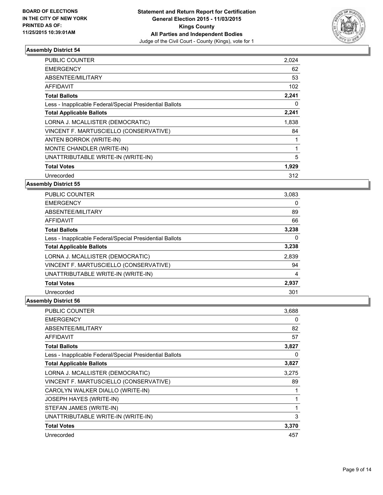

| <b>PUBLIC COUNTER</b>                                    | 2,024 |
|----------------------------------------------------------|-------|
| <b>EMERGENCY</b>                                         | 62    |
| ABSENTEE/MILITARY                                        | 53    |
| <b>AFFIDAVIT</b>                                         | 102   |
| <b>Total Ballots</b>                                     | 2,241 |
| Less - Inapplicable Federal/Special Presidential Ballots | 0     |
| <b>Total Applicable Ballots</b>                          | 2,241 |
| LORNA J. MCALLISTER (DEMOCRATIC)                         | 1,838 |
| VINCENT F. MARTUSCIELLO (CONSERVATIVE)                   | 84    |
| ANTEN BORROK (WRITE-IN)                                  | 1     |
| MONTE CHANDLER (WRITE-IN)                                | 1     |
| UNATTRIBUTABLE WRITE-IN (WRITE-IN)                       | 5     |
| <b>Total Votes</b>                                       | 1,929 |
| Unrecorded                                               | 312   |

**Assembly District 55**

| <b>PUBLIC COUNTER</b>                                    | 3,083 |
|----------------------------------------------------------|-------|
| <b>EMERGENCY</b>                                         | 0     |
| ABSENTEE/MILITARY                                        | 89    |
| <b>AFFIDAVIT</b>                                         | 66    |
| <b>Total Ballots</b>                                     | 3,238 |
| Less - Inapplicable Federal/Special Presidential Ballots | 0     |
| <b>Total Applicable Ballots</b>                          | 3,238 |
| LORNA J. MCALLISTER (DEMOCRATIC)                         | 2,839 |
| VINCENT F. MARTUSCIELLO (CONSERVATIVE)                   | 94    |
| UNATTRIBUTABLE WRITE-IN (WRITE-IN)                       | 4     |
| <b>Total Votes</b>                                       | 2,937 |
| Unrecorded                                               | 301   |

| <b>PUBLIC COUNTER</b>                                    | 3,688 |
|----------------------------------------------------------|-------|
| <b>EMERGENCY</b>                                         | 0     |
| ABSENTEE/MILITARY                                        | 82    |
| AFFIDAVIT                                                | 57    |
| <b>Total Ballots</b>                                     | 3,827 |
| Less - Inapplicable Federal/Special Presidential Ballots | 0     |
| <b>Total Applicable Ballots</b>                          | 3,827 |
| LORNA J. MCALLISTER (DEMOCRATIC)                         | 3,275 |
| VINCENT F. MARTUSCIELLO (CONSERVATIVE)                   | 89    |
| CAROLYN WALKER DIALLO (WRITE-IN)                         |       |
| JOSEPH HAYES (WRITE-IN)                                  |       |
| STEFAN JAMES (WRITE-IN)                                  | 1     |
| UNATTRIBUTABLE WRITE-IN (WRITE-IN)                       | 3     |
| <b>Total Votes</b>                                       | 3,370 |
| Unrecorded                                               | 457   |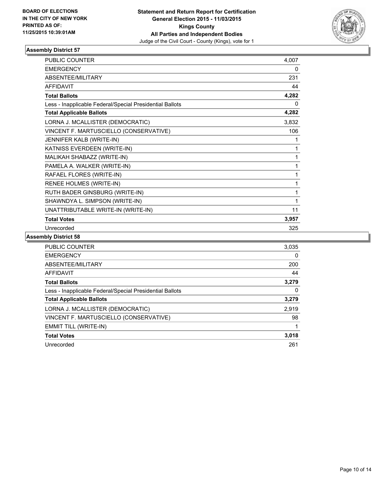

| <b>PUBLIC COUNTER</b>                                    | 4.007 |
|----------------------------------------------------------|-------|
| <b>EMERGENCY</b>                                         | 0     |
| ABSENTEE/MILITARY                                        | 231   |
| <b>AFFIDAVIT</b>                                         | 44    |
| <b>Total Ballots</b>                                     | 4,282 |
| Less - Inapplicable Federal/Special Presidential Ballots | 0     |
| <b>Total Applicable Ballots</b>                          | 4,282 |
| LORNA J. MCALLISTER (DEMOCRATIC)                         | 3,832 |
| VINCENT F. MARTUSCIELLO (CONSERVATIVE)                   | 106   |
| JENNIFER KALB (WRITE-IN)                                 | 1     |
| KATNISS EVERDEEN (WRITE-IN)                              | 1     |
| MALIKAH SHABAZZ (WRITE-IN)                               | 1     |
| PAMELA A. WALKER (WRITE-IN)                              | 1     |
| RAFAEL FLORES (WRITE-IN)                                 | 1     |
| RENEE HOLMES (WRITE-IN)                                  | 1     |
| RUTH BADER GINSBURG (WRITE-IN)                           | 1     |
| SHAWNDYA L. SIMPSON (WRITE-IN)                           | 1     |
| UNATTRIBUTABLE WRITE-IN (WRITE-IN)                       | 11    |
| <b>Total Votes</b>                                       | 3,957 |
| Unrecorded                                               | 325   |

| <b>PUBLIC COUNTER</b>                                    | 3,035 |
|----------------------------------------------------------|-------|
| <b>EMERGENCY</b>                                         | 0     |
| ABSENTEE/MILITARY                                        | 200   |
| <b>AFFIDAVIT</b>                                         | 44    |
| <b>Total Ballots</b>                                     | 3,279 |
| Less - Inapplicable Federal/Special Presidential Ballots | 0     |
| <b>Total Applicable Ballots</b>                          | 3,279 |
| LORNA J. MCALLISTER (DEMOCRATIC)                         | 2,919 |
| VINCENT F. MARTUSCIELLO (CONSERVATIVE)                   | 98    |
| <b>EMMIT TILL (WRITE-IN)</b>                             |       |
| <b>Total Votes</b>                                       | 3,018 |
| Unrecorded                                               | 261   |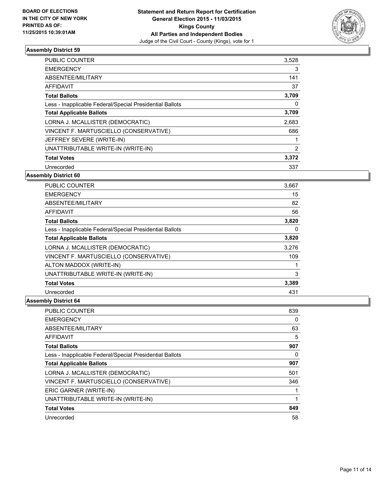

| <b>PUBLIC COUNTER</b>                                    | 3,528          |
|----------------------------------------------------------|----------------|
| <b>EMERGENCY</b>                                         | 3              |
| ABSENTEE/MILITARY                                        | 141            |
| AFFIDAVIT                                                | 37             |
| <b>Total Ballots</b>                                     | 3,709          |
| Less - Inapplicable Federal/Special Presidential Ballots | 0              |
| <b>Total Applicable Ballots</b>                          | 3,709          |
| LORNA J. MCALLISTER (DEMOCRATIC)                         | 2,683          |
| VINCENT F. MARTUSCIELLO (CONSERVATIVE)                   | 686            |
| JEFFREY SEVERE (WRITE-IN)                                |                |
| UNATTRIBUTABLE WRITE-IN (WRITE-IN)                       | $\overline{2}$ |
| <b>Total Votes</b>                                       | 3,372          |
| Unrecorded                                               | 337            |

**Assembly District 60**

| <b>PUBLIC COUNTER</b>                                    | 3,667 |
|----------------------------------------------------------|-------|
| <b>EMERGENCY</b>                                         | 15    |
| ABSENTEE/MILITARY                                        | 82    |
| <b>AFFIDAVIT</b>                                         | 56    |
| <b>Total Ballots</b>                                     | 3,820 |
| Less - Inapplicable Federal/Special Presidential Ballots | 0     |
| <b>Total Applicable Ballots</b>                          | 3,820 |
| LORNA J. MCALLISTER (DEMOCRATIC)                         | 3,276 |
| VINCENT F. MARTUSCIELLO (CONSERVATIVE)                   | 109   |
| ALTON MADDOX (WRITE-IN)                                  |       |
| UNATTRIBUTABLE WRITE-IN (WRITE-IN)                       | 3     |
| <b>Total Votes</b>                                       | 3,389 |
| Unrecorded                                               | 431   |

| <b>PUBLIC COUNTER</b>                                    | 839 |
|----------------------------------------------------------|-----|
| <b>EMERGENCY</b>                                         | 0   |
| ABSENTEE/MILITARY                                        | 63  |
| <b>AFFIDAVIT</b>                                         | 5   |
| <b>Total Ballots</b>                                     | 907 |
| Less - Inapplicable Federal/Special Presidential Ballots | 0   |
| <b>Total Applicable Ballots</b>                          | 907 |
| LORNA J. MCALLISTER (DEMOCRATIC)                         | 501 |
| VINCENT F. MARTUSCIELLO (CONSERVATIVE)                   | 346 |
| ERIC GARNER (WRITE-IN)                                   |     |
| UNATTRIBUTABLE WRITE-IN (WRITE-IN)                       |     |
| <b>Total Votes</b>                                       | 849 |
| Unrecorded                                               | 58  |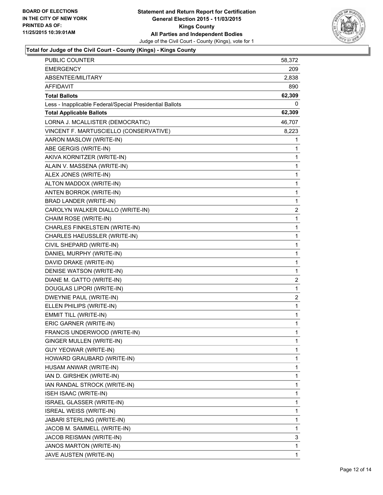

# **Total for Judge of the Civil Court - County (Kings) - Kings County**

| PUBLIC COUNTER                                           | 58,372         |
|----------------------------------------------------------|----------------|
| EMERGENCY                                                | 209            |
| ABSENTEE/MILITARY                                        | 2,838          |
| AFFIDAVIT                                                | 890            |
| <b>Total Ballots</b>                                     | 62,309         |
| Less - Inapplicable Federal/Special Presidential Ballots | 0              |
| <b>Total Applicable Ballots</b>                          | 62,309         |
| LORNA J. MCALLISTER (DEMOCRATIC)                         | 46,707         |
| VINCENT F. MARTUSCIELLO (CONSERVATIVE)                   | 8,223          |
| AARON MASLOW (WRITE-IN)                                  | 1              |
| ABE GERGIS (WRITE-IN)                                    | 1              |
| AKIVA KORNITZER (WRITE-IN)                               | 1              |
| ALAIN V. MASSENA (WRITE-IN)                              | 1              |
| ALEX JONES (WRITE-IN)                                    | 1              |
| ALTON MADDOX (WRITE-IN)                                  | 1              |
| ANTEN BORROK (WRITE-IN)                                  | 1              |
| <b>BRAD LANDER (WRITE-IN)</b>                            | 1              |
| CAROLYN WALKER DIALLO (WRITE-IN)                         | $\overline{2}$ |
| CHAIM ROSE (WRITE-IN)                                    | 1              |
| CHARLES FINKELSTEIN (WRITE-IN)                           | 1              |
| CHARLES HAEUSSLER (WRITE-IN)                             | 1              |
| CIVIL SHEPARD (WRITE-IN)                                 | 1              |
| DANIEL MURPHY (WRITE-IN)                                 | 1              |
| DAVID DRAKE (WRITE-IN)                                   | 1              |
| DENISE WATSON (WRITE-IN)                                 | 1              |
| DIANE M. GATTO (WRITE-IN)                                | 2              |
| DOUGLAS LIPORI (WRITE-IN)                                | 1              |
| DWEYNIE PAUL (WRITE-IN)                                  | 2              |
| ELLEN PHILIPS (WRITE-IN)                                 | 1              |
| <b>EMMIT TILL (WRITE-IN)</b>                             | 1              |
| ERIC GARNER (WRITE-IN)                                   | 1              |
| FRANCIS UNDERWOOD (WRITE-IN)                             | 1              |
| GINGER MULLEN (WRITE-IN)                                 | 1              |
| GUY YEOWAR (WRITE-IN)                                    | 1              |
| HOWARD GRAUBARD (WRITE-IN)                               | 1              |
| HUSAM ANWAR (WRITE-IN)                                   | 1              |
| IAN D. GIRSHEK (WRITE-IN)                                | 1              |
| IAN RANDAL STROCK (WRITE-IN)                             | 1              |
| ISEH ISAAC (WRITE-IN)                                    | 1              |
| <b>ISRAEL GLASSER (WRITE-IN)</b>                         | 1              |
| ISREAL WEISS (WRITE-IN)                                  | 1              |
| JABARI STERLING (WRITE-IN)                               | 1              |
| JACOB M. SAMMELL (WRITE-IN)                              | 1              |
| JACOB REISMAN (WRITE-IN)                                 | 3              |
| JANOS MARTON (WRITE-IN)                                  | 1              |
| JAVE AUSTEN (WRITE-IN)                                   | $\mathbf{1}$   |
|                                                          |                |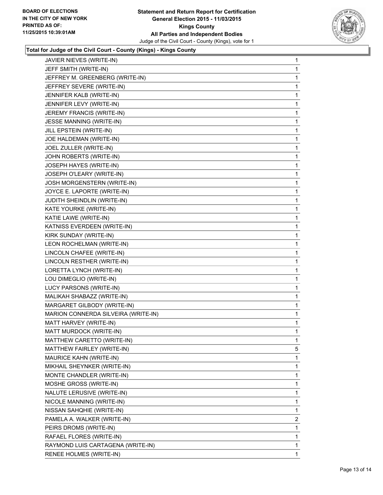

# **Total for Judge of the Civil Court - County (Kings) - Kings County**

| JAVIER NIEVES (WRITE-IN)            | 1 |
|-------------------------------------|---|
| JEFF SMITH (WRITE-IN)               | 1 |
| JEFFREY M. GREENBERG (WRITE-IN)     | 1 |
| JEFFREY SEVERE (WRITE-IN)           | 1 |
| JENNIFER KALB (WRITE-IN)            | 1 |
| JENNIFER LEVY (WRITE-IN)            | 1 |
| JEREMY FRANCIS (WRITE-IN)           | 1 |
| JESSE MANNING (WRITE-IN)            | 1 |
| JILL EPSTEIN (WRITE-IN)             | 1 |
| JOE HALDEMAN (WRITE-IN)             | 1 |
| JOEL ZULLER (WRITE-IN)              | 1 |
| JOHN ROBERTS (WRITE-IN)             | 1 |
| JOSEPH HAYES (WRITE-IN)             | 1 |
| JOSEPH O'LEARY (WRITE-IN)           | 1 |
| JOSH MORGENSTERN (WRITE-IN)         | 1 |
| JOYCE E. LAPORTE (WRITE-IN)         | 1 |
| JUDITH SHEINDLIN (WRITE-IN)         | 1 |
| KATE YOURKE (WRITE-IN)              | 1 |
| KATIE LAWE (WRITE-IN)               | 1 |
| KATNISS EVERDEEN (WRITE-IN)         | 1 |
| KIRK SUNDAY (WRITE-IN)              | 1 |
| LEON ROCHELMAN (WRITE-IN)           | 1 |
| LINCOLN CHAFEE (WRITE-IN)           | 1 |
| LINCOLN RESTHER (WRITE-IN)          | 1 |
| LORETTA LYNCH (WRITE-IN)            | 1 |
| LOU DIMEGLIO (WRITE-IN)             | 1 |
| LUCY PARSONS (WRITE-IN)             | 1 |
| MALIKAH SHABAZZ (WRITE-IN)          | 1 |
| MARGARET GILBODY (WRITE-IN)         | 1 |
| MARION CONNERDA SILVEIRA (WRITE-IN) | 1 |
| MATT HARVEY (WRITE-IN)              | 1 |
| MATT MURDOCK (WRITE-IN)             | 1 |
| MATTHEW CARETTO (WRITE-IN)          | 1 |
| MATTHEW FAIRLEY (WRITE-IN)          | 5 |
| MAURICE KAHN (WRITE-IN)             | 1 |
| MIKHAIL SHEYNKER (WRITE-IN)         | 1 |
| MONTE CHANDLER (WRITE-IN)           | 1 |
| MOSHE GROSS (WRITE-IN)              | 1 |
| NALUTE LERUSIVE (WRITE-IN)          | 1 |
| NICOLE MANNING (WRITE-IN)           | 1 |
| NISSAN SAHQHIE (WRITE-IN)           | 1 |
| PAMELA A. WALKER (WRITE-IN)         | 2 |
| PEIRS DROMS (WRITE-IN)              | 1 |
| RAFAEL FLORES (WRITE-IN)            | 1 |
| RAYMOND LUIS CARTAGENA (WRITE-IN)   | 1 |
| RENEE HOLMES (WRITE-IN)             | 1 |
|                                     |   |